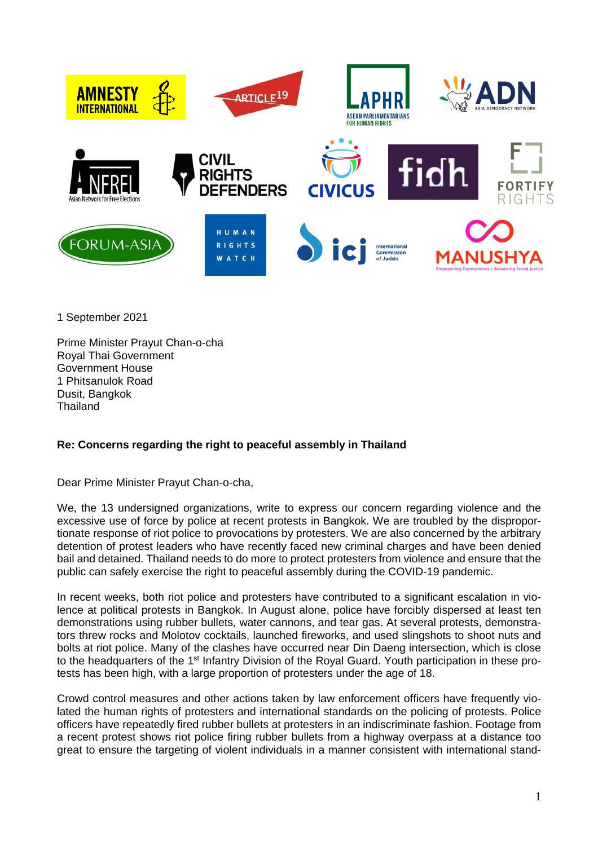

1 September 2021

Prime Minister Prayut Chan-o-cha Royal Thai Government Government House 1 Phitsanulok Road Dusit, Bangkok **Thailand** 

## **Re: Concerns regarding the right to peaceful assembly in Thailand**

Dear Prime Minister Prayut Chan-o-cha,

We, the 13 undersigned organizations, write to express our concern regarding violence and the excessive use of force by police at recent protests in Bangkok. We are troubled by the disproportionate response of riot police to provocations by protesters. We are also concerned by the arbitrary detention of protest leaders who have recently faced new criminal charges and have been denied bail and detained. Thailand needs to do more to protect protesters from violence and ensure that the public can safely exercise the right to peaceful assembly during the COVID-19 pandemic.

In recent weeks, both riot police and protesters have contributed to a significant escalation in violence at political protests in Bangkok. In August alone, police have forcibly dispersed at least ten demonstrations using rubber bullets, water cannons, and tear gas. At several protests, demonstrators threw rocks and Molotov cocktails, launched fireworks, and used slingshots to shoot nuts and bolts at riot police. Many of the clashes have occurred near Din Daeng intersection, which is close to the headquarters of the 1<sup>st</sup> Infantry Division of the Royal Guard. Youth participation in these protests has been high, with a large proportion of protesters under the age of 18.

Crowd control measures and other actions taken by law enforcement officers have frequently violated the human rights of protesters and international standards on the policing of protests. Police officers have repeatedly fired rubber bullets at protesters in an indiscriminate fashion. Footage from a recent protest shows riot police firing rubber bullets from a highway overpass at a distance too great to ensure the targeting of violent individuals in a manner consistent with international stand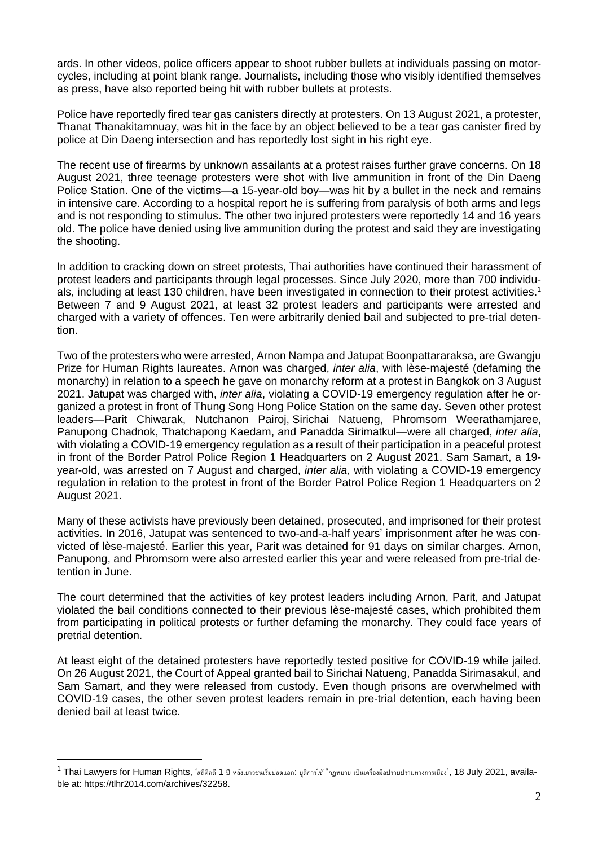ards. In other videos, police officers appear to shoot rubber bullets at individuals passing on motorcycles, including at point blank range. Journalists, including those who visibly identified themselves as press, have also reported being hit with rubber bullets at protests.

Police have reportedly fired tear gas canisters directly at protesters. On 13 August 2021, a protester, Thanat Thanakitamnuay, was hit in the face by an object believed to be a tear gas canister fired by police at Din Daeng intersection and has reportedly lost sight in his right eye.

The recent use of firearms by unknown assailants at a protest raises further grave concerns. On 18 August 2021, three teenage protesters were shot with live ammunition in front of the Din Daeng Police Station. One of the victims—a 15-year-old boy—was hit by a bullet in the neck and remains in intensive care. According to a hospital report he is suffering from paralysis of both arms and legs and is not responding to stimulus. The other two injured protesters were reportedly 14 and 16 years old. The police have denied using live ammunition during the protest and said they are investigating the shooting.

In addition to cracking down on street protests, Thai authorities have continued their harassment of protest leaders and participants through legal processes. Since July 2020, more than 700 individuals, including at least 130 children, have been investigated in connection to their protest activities.<sup>1</sup> Between 7 and 9 August 2021, at least 32 protest leaders and participants were arrested and charged with a variety of offences. Ten were arbitrarily denied bail and subjected to pre-trial detention.

Two of the protesters who were arrested, Arnon Nampa and Jatupat Boonpattararaksa, are Gwangju Prize for Human Rights laureates. Arnon was charged, *inter alia*, with lèse-majesté (defaming the monarchy) in relation to a speech he gave on monarchy reform at a protest in Bangkok on 3 August 2021. Jatupat was charged with, *inter alia*, violating a COVID-19 emergency regulation after he organized a protest in front of Thung Song Hong Police Station on the same day. Seven other protest leaders—Parit Chiwarak, Nutchanon Pairoj, Sirichai Natueng, Phromsorn Weerathamjaree, Panupong Chadnok, Thatchapong Kaedam, and Panadda Sirimatkul—were all charged, *inter alia*, with violating a COVID-19 emergency regulation as a result of their participation in a peaceful protest in front of the Border Patrol Police Region 1 Headquarters on 2 August 2021. Sam Samart, a 19 year-old, was arrested on 7 August and charged, *inter alia*, with violating a COVID-19 emergency regulation in relation to the protest in front of the Border Patrol Police Region 1 Headquarters on 2 August 2021.

Many of these activists have previously been detained, prosecuted, and imprisoned for their protest activities. In 2016, Jatupat was sentenced to two-and-a-half years' imprisonment after he was convicted of lèse-majesté. Earlier this year, Parit was detained for 91 days on similar charges. Arnon, Panupong, and Phromsorn were also arrested earlier this year and were released from pre-trial detention in June.

The court determined that the activities of key protest leaders including Arnon, Parit, and Jatupat violated the bail conditions connected to their previous lèse-majesté cases, which prohibited them from participating in political protests or further defaming the monarchy. They could face years of pretrial detention.

At least eight of the detained protesters have reportedly tested positive for COVID-19 while jailed. On 26 August 2021, the Court of Appeal granted bail to Sirichai Natueng, Panadda Sirimasakul, and Sam Samart, and they were released from custody. Even though prisons are overwhelmed with COVID-19 cases, the other seven protest leaders remain in pre-trial detention, each having been denied bail at least twice.

 $^{\text{1}}$  Thai Lawyers for Human Rights, 'สถิติคดี 1 ปี หลังเยาวชนเริ่มปลดแอก: ยุติการใช้ "กฎหมาย เป็นเครื่องมือปราบปรามทางการเมือง', 18 July 2021, available at: [https://tlhr2014.com/archives/32258.](https://tlhr2014.com/archives/32258)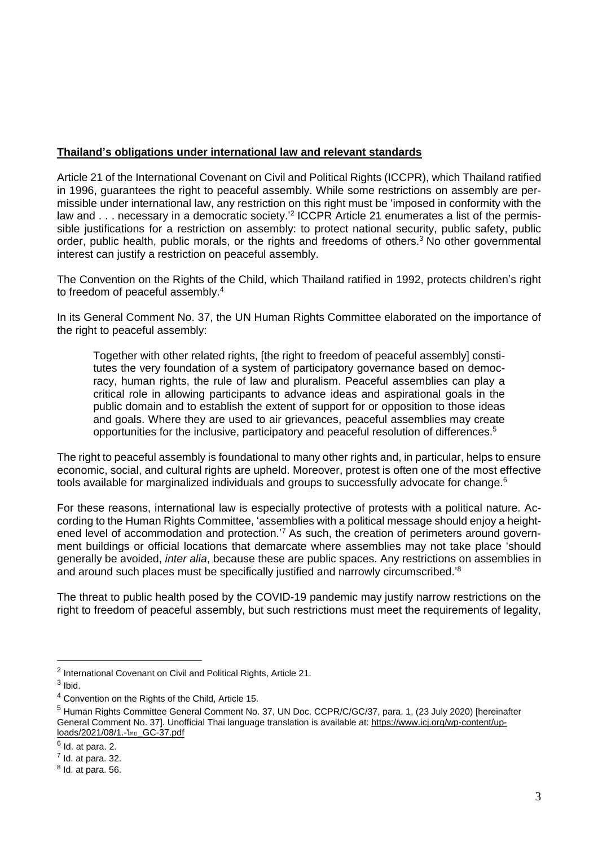## **Thailand's obligations under international law and relevant standards**

Article 21 of the International Covenant on Civil and Political Rights (ICCPR), which Thailand ratified in 1996, guarantees the right to peaceful assembly. While some restrictions on assembly are permissible under international law, any restriction on this right must be 'imposed in conformity with the law and . . . necessary in a democratic society.<sup>'2</sup> ICCPR Article 21 enumerates a list of the permissible justifications for a restriction on assembly: to protect national security, public safety, public order, public health, public morals, or the rights and freedoms of others.<sup>3</sup> No other governmental interest can justify a restriction on peaceful assembly.

The Convention on the Rights of the Child, which Thailand ratified in 1992, protects children's right to freedom of peaceful assembly.<sup>4</sup>

In its General Comment No. 37, the UN Human Rights Committee elaborated on the importance of the right to peaceful assembly:

Together with other related rights, [the right to freedom of peaceful assembly] constitutes the very foundation of a system of participatory governance based on democracy, human rights, the rule of law and pluralism. Peaceful assemblies can play a critical role in allowing participants to advance ideas and aspirational goals in the public domain and to establish the extent of support for or opposition to those ideas and goals. Where they are used to air grievances, peaceful assemblies may create opportunities for the inclusive, participatory and peaceful resolution of differences.<sup>5</sup>

The right to peaceful assembly is foundational to many other rights and, in particular, helps to ensure economic, social, and cultural rights are upheld. Moreover, protest is often one of the most effective tools available for marginalized individuals and groups to successfully advocate for change.<sup>6</sup>

For these reasons, international law is especially protective of protests with a political nature. According to the Human Rights Committee, 'assemblies with a political message should enjoy a heightened level of accommodation and protection.<sup>'7</sup> As such, the creation of perimeters around government buildings or official locations that demarcate where assemblies may not take place 'should generally be avoided, *inter alia*, because these are public spaces. Any restrictions on assemblies in and around such places must be specifically justified and narrowly circumscribed.<sup>8</sup>

The threat to public health posed by the COVID-19 pandemic may justify narrow restrictions on the right to freedom of peaceful assembly, but such restrictions must meet the requirements of legality,

<sup>&</sup>lt;sup>2</sup> International Covenant on Civil and Political Rights, Article 21.

 $3$  lbid.

<sup>4</sup> Convention on the Rights of the Child, Article 15.

<sup>&</sup>lt;sup>5</sup> Human Rights Committee General Comment No. 37, UN Doc. CCPR/C/GC/37, para. 1, (23 July 2020) [hereinafter General Comment No. 37]. Unofficial Thai language translation is available at: [https://www.icj.org/wp-content/up](https://www.icj.org/wp-content/uploads/2021/08/1.-%2525E0%2525B9%252584%2525E0%2525B8%252597%2525E0%2525B8%2525A2_GC-37.pdf)[loads/2021/08/1.-](https://www.icj.org/wp-content/uploads/2021/08/1.-%2525E0%2525B9%252584%2525E0%2525B8%252597%2525E0%2525B8%2525A2_GC-37.pdf)ไทย\_GC-37.pdf

 $<sup>6</sup>$  Id. at para. 2.</sup>

 $<sup>7</sup>$  Id. at para. 32.</sup>

 $8$  Id. at para. 56.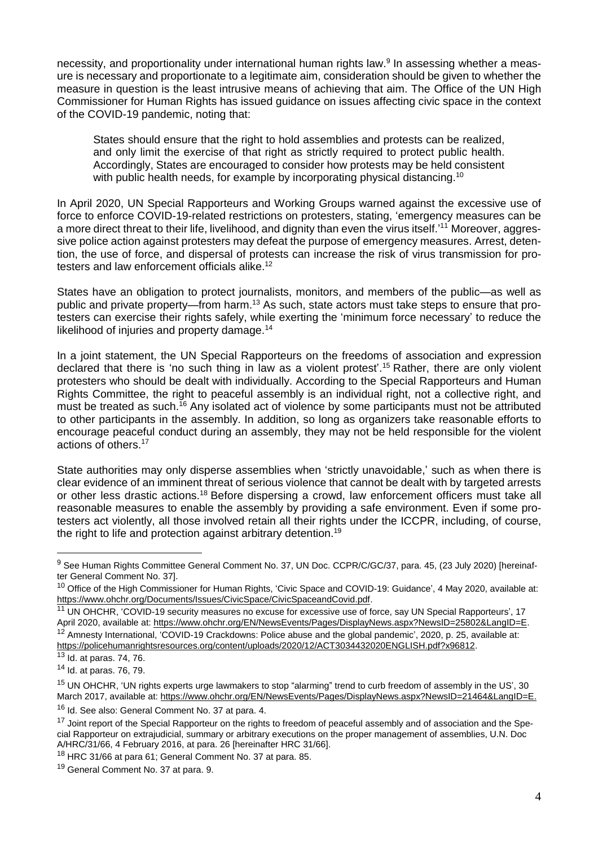necessity, and proportionality under international human rights law.<sup>9</sup> In assessing whether a measure is necessary and proportionate to a legitimate aim, consideration should be given to whether the measure in question is the least intrusive means of achieving that aim. The Office of the UN High Commissioner for Human Rights has issued guidance on issues affecting civic space in the context of the COVID-19 pandemic, noting that:

States should ensure that the right to hold assemblies and protests can be realized. and only limit the exercise of that right as strictly required to protect public health. Accordingly, States are encouraged to consider how protests may be held consistent with public health needs, for example by incorporating physical distancing.<sup>10</sup>

In April 2020, UN Special Rapporteurs and Working Groups warned against the excessive use of force to enforce COVID-19-related restrictions on protesters, stating, 'emergency measures can be a more direct threat to their life, livelihood, and dignity than even the virus itself.'<sup>11</sup> Moreover, aggressive police action against protesters may defeat the purpose of emergency measures. Arrest, detention, the use of force, and dispersal of protests can increase the risk of virus transmission for protesters and law enforcement officials alike.<sup>12</sup>

States have an obligation to protect journalists, monitors, and members of the public—as well as public and private property—from harm.<sup>13</sup> As such, state actors must take steps to ensure that protesters can exercise their rights safely, while exerting the 'minimum force necessary' to reduce the likelihood of injuries and property damage.<sup>14</sup>

In a joint statement, the UN Special Rapporteurs on the freedoms of association and expression declared that there is 'no such thing in law as a violent protest'. <sup>15</sup> Rather, there are only violent protesters who should be dealt with individually. According to the Special Rapporteurs and Human Rights Committee, the right to peaceful assembly is an individual right, not a collective right, and must be treated as such.<sup>16</sup> Any isolated act of violence by some participants must not be attributed to other participants in the assembly. In addition, so long as organizers take reasonable efforts to encourage peaceful conduct during an assembly, they may not be held responsible for the violent actions of others.<sup>17</sup>

State authorities may only disperse assemblies when 'strictly unavoidable,' such as when there is clear evidence of an imminent threat of serious violence that cannot be dealt with by targeted arrests or other less drastic actions.<sup>18</sup> Before dispersing a crowd, law enforcement officers must take all reasonable measures to enable the assembly by providing a safe environment. Even if some protesters act violently, all those involved retain all their rights under the ICCPR, including, of course, the right to life and protection against arbitrary detention.<sup>19</sup>

<sup>&</sup>lt;sup>9</sup> See Human Rights Committee General Comment No. 37, UN Doc. CCPR/C/GC/37, para. 45, (23 July 2020) [hereinafter General Comment No. 37].

<sup>&</sup>lt;sup>10</sup> Office of the High Commissioner for Human Rights, 'Civic Space and COVID-19: Guidance', 4 May 2020, available at: [https://www.ohchr.org/Documents/Issues/CivicSpace/CivicSpaceandCovid.pdf.](https://www.ohchr.org/Documents/Issues/CivicSpace/CivicSpaceandCovid.pdf)

<sup>&</sup>lt;sup>11</sup> UN OHCHR, 'COVID-19 security measures no excuse for excessive use of force, say UN Special Rapporteurs', 17 April 2020, available at: [https://www.ohchr.org/EN/NewsEvents/Pages/DisplayNews.aspx?NewsID=25802&LangID=E.](https://www.ohchr.org/EN/NewsEvents/Pages/DisplayNews.aspx?NewsID=25802&LangID=E) <sup>12</sup> Amnesty International, 'COVID-19 Crackdowns: Police abuse and the global pandemic', 2020, p. 25, available at: [https://policehumanrightsresources.org/content/uploads/2020/12/ACT3034432020ENGLISH.pdf?x96812.](https://policehumanrightsresources.org/content/uploads/2020/12/ACT3034432020ENGLISH.pdf?x96812)

 $\overline{13}$  Id. at paras. 74, 76.

<sup>14</sup> Id. at paras. 76, 79.

<sup>&</sup>lt;sup>15</sup> UN OHCHR, 'UN rights experts urge lawmakers to stop "alarming" trend to curb freedom of assembly in the US', 30 March 2017, available at: [https://www.ohchr.org/EN/NewsEvents/Pages/DisplayNews.aspx?NewsID=21464&LangID=E.](https://www.ohchr.org/EN/NewsEvents/Pages/DisplayNews.aspx?NewsID=21464&LangID=E)

<sup>&</sup>lt;sup>16</sup> Id. See also: General Comment No. 37 at para. 4.

<sup>&</sup>lt;sup>17</sup> Joint report of the Special Rapporteur on the rights to freedom of peaceful assembly and of association and the Special Rapporteur on extrajudicial, summary or arbitrary executions on the proper management of assemblies, U.N. Doc A/HRC/31/66, 4 February 2016, at para. 26 [hereinafter HRC 31/66].

<sup>&</sup>lt;sup>18</sup> HRC 31/66 at para 61; General Comment No. 37 at para. 85.

<sup>19</sup> General Comment No. 37 at para. 9.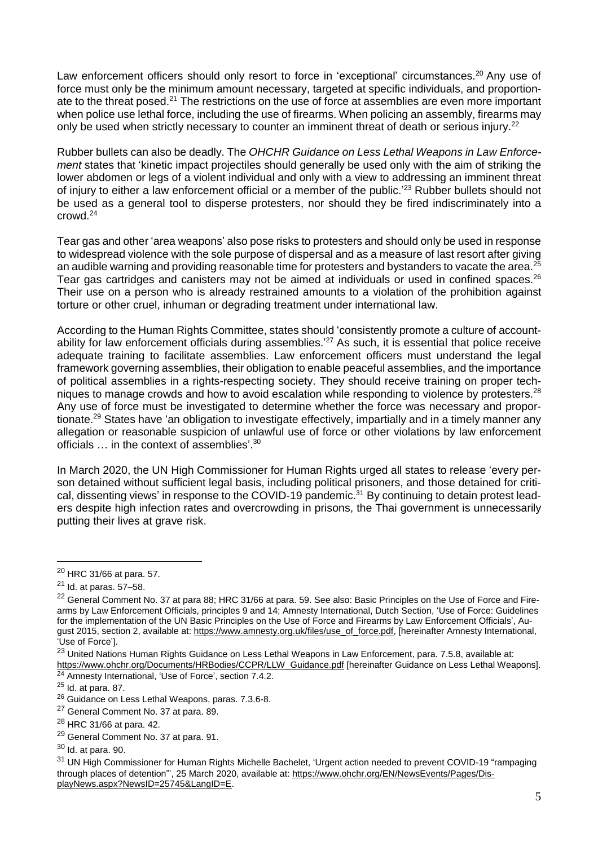Law enforcement officers should only resort to force in 'exceptional' circumstances.<sup>20</sup> Any use of force must only be the minimum amount necessary, targeted at specific individuals, and proportionate to the threat posed.<sup>21</sup> The restrictions on the use of force at assemblies are even more important when police use lethal force, including the use of firearms. When policing an assembly, firearms may only be used when strictly necessary to counter an imminent threat of death or serious injury.<sup>22</sup>

Rubber bullets can also be deadly. The *OHCHR Guidance on Less Lethal Weapons in Law Enforcement* states that 'kinetic impact projectiles should generally be used only with the aim of striking the lower abdomen or legs of a violent individual and only with a view to addressing an imminent threat of injury to either a law enforcement official or a member of the public.<sup>'23</sup> Rubber bullets should not be used as a general tool to disperse protesters, nor should they be fired indiscriminately into a crowd.<sup>24</sup>

Tear gas and other 'area weapons' also pose risks to protesters and should only be used in response to widespread violence with the sole purpose of dispersal and as a measure of last resort after giving an audible warning and providing reasonable time for protesters and bystanders to vacate the area.<sup>25</sup> Tear gas cartridges and canisters may not be aimed at individuals or used in confined spaces.<sup>26</sup> Their use on a person who is already restrained amounts to a violation of the prohibition against torture or other cruel, inhuman or degrading treatment under international law.

According to the Human Rights Committee, states should 'consistently promote a culture of accountability for law enforcement officials during assemblies.<sup>27</sup> As such, it is essential that police receive adequate training to facilitate assemblies. Law enforcement officers must understand the legal framework governing assemblies, their obligation to enable peaceful assemblies, and the importance of political assemblies in a rights-respecting society. They should receive training on proper techniques to manage crowds and how to avoid escalation while responding to violence by protesters.<sup>28</sup> Any use of force must be investigated to determine whether the force was necessary and proportionate.<sup>29</sup> States have 'an obligation to investigate effectively, impartially and in a timely manner any allegation or reasonable suspicion of unlawful use of force or other violations by law enforcement officials ... in the context of assemblies'.<sup>30</sup>

In March 2020, the UN High Commissioner for Human Rights urged all states to release 'every person detained without sufficient legal basis, including political prisoners, and those detained for critical, dissenting views' in response to the COVID-19 pandemic.<sup>31</sup> By continuing to detain protest leaders despite high infection rates and overcrowding in prisons, the Thai government is unnecessarily putting their lives at grave risk.

<sup>20</sup> HRC 31/66 at para. 57.

 $21$  Id. at paras. 57-58.

<sup>&</sup>lt;sup>22</sup> General Comment No. 37 at para 88; HRC 31/66 at para. 59. See also: Basic Principles on the Use of Force and Firearms by Law Enforcement Officials, principles 9 and 14; Amnesty International, Dutch Section, 'Use of Force: Guidelines for the implementation of the UN Basic Principles on the Use of Force and Firearms by Law Enforcement Officials', August 2015, section 2, available at: [https://www.amnesty.org.uk/files/use\\_of\\_force.pdf,](https://www.amnesty.org.uk/files/use_of_force.pdf) [hereinafter Amnesty International, 'Use of Force'].

<sup>&</sup>lt;sup>23</sup> United Nations Human Rights Guidance on Less Lethal Weapons in Law Enforcement, para. 7.5.8, available at: [https://www.ohchr.org/Documents/HRBodies/CCPR/LLW\\_Guidance.pdf](https://www.ohchr.org/Documents/HRBodies/CCPR/LLW_Guidance.pdf) [hereinafter Guidance on Less Lethal Weapons].

<sup>&</sup>lt;sup>24</sup> Amnesty International, 'Use of Force', section 7.4.2.

 $25$  Id. at para. 87.

<sup>26</sup> Guidance on Less Lethal Weapons, paras. 7.3.6-8.

<sup>&</sup>lt;sup>27</sup> General Comment No. 37 at para. 89.

<sup>28</sup> HRC 31/66 at para. 42.

<sup>29</sup> General Comment No. 37 at para. 91.

<sup>30</sup> Id. at para. 90.

<sup>&</sup>lt;sup>31</sup> UN High Commissioner for Human Rights Michelle Bachelet, 'Urgent action needed to prevent COVID-19 "rampaging through places of detention"', 25 March 2020, available at: [https://www.ohchr.org/EN/NewsEvents/Pages/Dis](https://www.ohchr.org/EN/NewsEvents/Pages/DisplayNews.aspx?NewsID=25745&LangID=E)[playNews.aspx?NewsID=25745&LangID=E.](https://www.ohchr.org/EN/NewsEvents/Pages/DisplayNews.aspx?NewsID=25745&LangID=E)